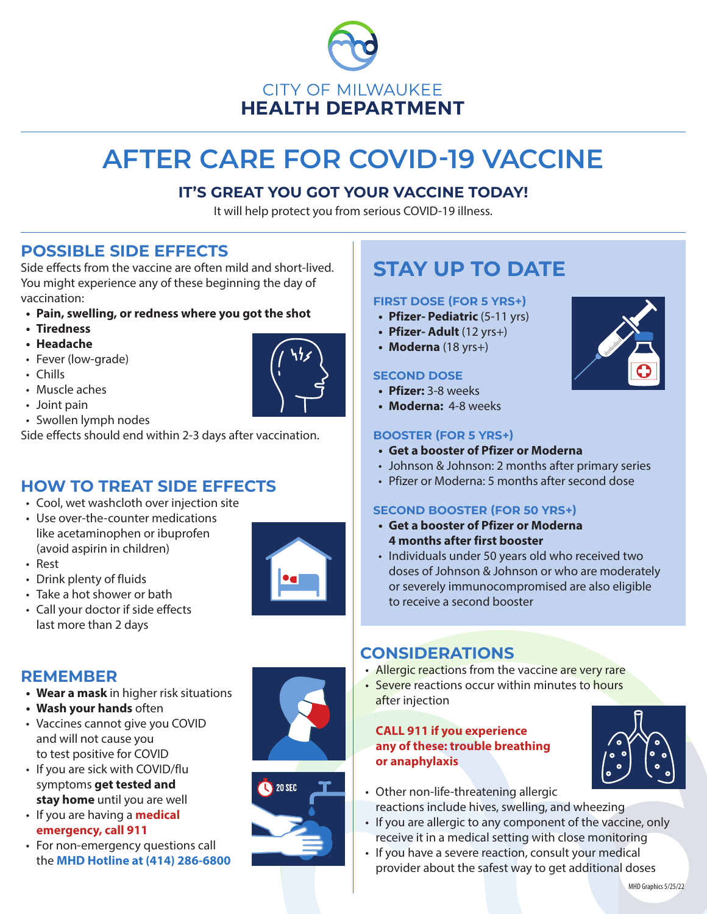

# **AFTER CARE FOR COVID-19 VACCINE**

# **IT'S GREAT YOU GOT YOUR VACCINE TODAY!**

It will help protect you from serious COVID-19 illness.

# **POSSIBLE SIDE EFFECTS**

Side effects from the vaccine are often mild and short-lived. You might experience any of these beginning the day of vaccination:

- **• Pain, swelling, or redness where you got the shot**
- **• Tiredness**
- **• Headache**
- Fever (low-grade)
- Chills
- Muscle aches
- Joint pain
- Swollen lymph nodes

Side effects should end within 2-3 days after vaccination.

# **HOW TO TREAT SIDE EFFECTS**

- Cool, wet washcloth over injection site
- Use over-the-counter medications like acetaminophen or ibuprofen (avoid aspirin in children)



- Drink plenty of fluids
- Take a hot shower or bath
- Call your doctor if side effects last more than 2 days



# **REMEMBER**

- **• Wear a mask** in higher risk situations
- **• Wash your hands** often
- Vaccines cannot give you COVID and will not cause you to test positive for COVID
- If you are sick with COVID/flu symptoms **get tested and stay home** until you are well
- If you are having a **medical emergency, call 911**
- For non-emergency questions call the **MHD Hotline at (414) 286-6800**



# **STAY UP TO DATE**

#### **FIRST DOSE (FOR 5 YRS+)**

- **• Pfizer- Pediatric** (5-11 yrs)
- **• Pfizer- Adult** (12 yrs+)
- **• Moderna** (18 yrs+)

#### **SECOND DOSE**

- **• Pfizer:** 3-8 weeks
- **• Moderna:** 4-8 weeks

#### **BOOSTER (FOR 5 YRS+)**

- **• Get a booster of Pfizer or Moderna**
- Johnson & Johnson: 2 months after primary series
- Pfizer or Moderna: 5 months after second dose

### **SECOND BOOSTER (FOR 50 YRS+)**

- **• Get a booster of Pfizer or Moderna 4 months after first booster**
- Individuals under 50 years old who received two doses of Johnson & Johnson or who are moderately or severely immunocompromised are also eligible to receive a second booster

# **CONSIDERATIONS**

- Allergic reactions from the vaccine are very rare
- Severe reactions occur within minutes to hours after injection

#### **CALL 911 if you experience any of these: trouble breathing or anaphylaxis**



- Other non-life-threatening allergic reactions include hives, swelling, and wheezing
- If you are allergic to any component of the vaccine, only receive it in a medical setting with close monitoring
- If you have a severe reaction, consult your medical provider about the safest way to get additional doses